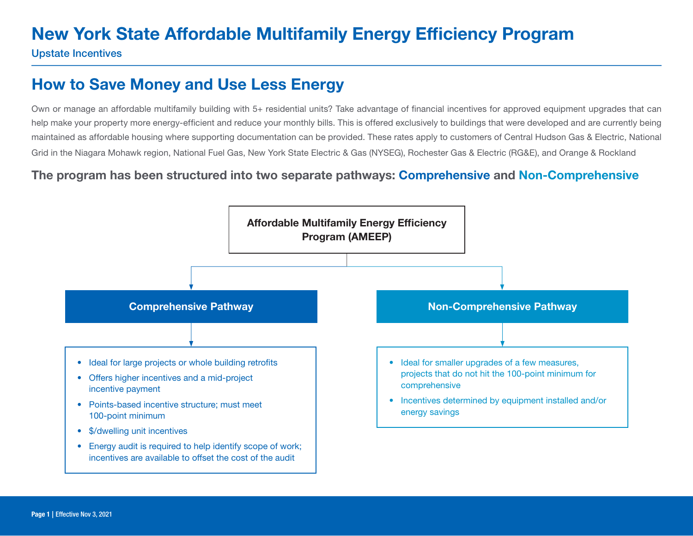Upstate Incentives

### How to Save Money and Use Less Energy

Own or manage an affordable multifamily building with 5+ residential units? Take advantage of financial incentives for approved equipment upgrades that can help make your property more energy-efficient and reduce your monthly bills. This is offered exclusively to buildings that were developed and are currently being maintained as affordable housing where supporting documentation can be provided. These rates apply to customers of Central Hudson Gas & Electric, National Grid in the Niagara Mohawk region, National Fuel Gas, New York State Electric & Gas (NYSEG), Rochester Gas & Electric (RG&E), and Orange & Rockland

#### The program has been structured into two separate pathways: Comprehensive and Non-Comprehensive

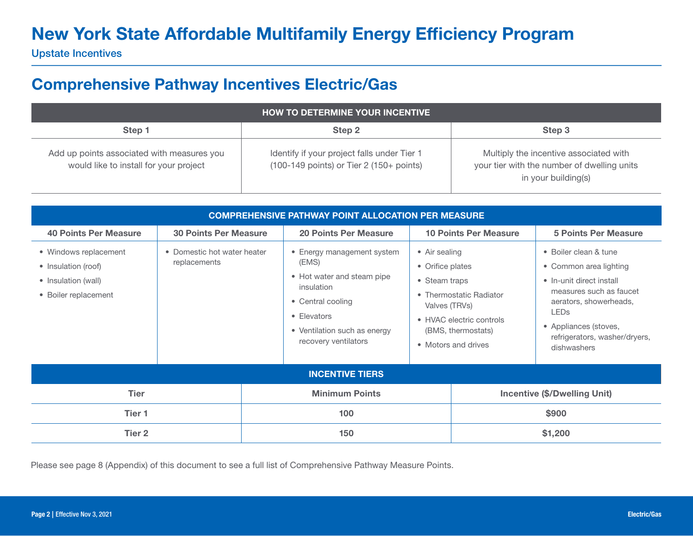Upstate Incentives

### Comprehensive Pathway Incentives Electric/Gas

| <b>HOW TO DETERMINE YOUR INCENTIVE</b>                                               |                                                                                              |                                                                                                              |  |  |  |
|--------------------------------------------------------------------------------------|----------------------------------------------------------------------------------------------|--------------------------------------------------------------------------------------------------------------|--|--|--|
| Step 1                                                                               | Step 2                                                                                       | Step 3                                                                                                       |  |  |  |
| Add up points associated with measures you<br>would like to install for your project | Identify if your project falls under Tier 1<br>$(100-149$ points) or Tier 2 $(150+)$ points) | Multiply the incentive associated with<br>your tier with the number of dwelling units<br>in your building(s) |  |  |  |

| <b>COMPREHENSIVE PATHWAY POINT ALLOCATION PER MEASURE</b>                                                                                  |                              |                       |                                                                                                                                                                                                                                                    |                                     |                                                                                                  |                                                                                                                                                                                                                          |  |
|--------------------------------------------------------------------------------------------------------------------------------------------|------------------------------|-----------------------|----------------------------------------------------------------------------------------------------------------------------------------------------------------------------------------------------------------------------------------------------|-------------------------------------|--------------------------------------------------------------------------------------------------|--------------------------------------------------------------------------------------------------------------------------------------------------------------------------------------------------------------------------|--|
| <b>40 Points Per Measure</b>                                                                                                               | <b>30 Points Per Measure</b> |                       | <b>20 Points Per Measure</b>                                                                                                                                                                                                                       |                                     | <b>10 Points Per Measure</b>                                                                     | <b>5 Points Per Measure</b>                                                                                                                                                                                              |  |
| • Windows replacement<br>• Domestic hot water heater<br>replacements<br>• Insulation (roof)<br>• Insulation (wall)<br>• Boiler replacement |                              |                       | • Energy management system<br>• Air sealing<br>(EMS)<br>• Orifice plates<br>• Hot water and steam pipe<br>• Steam traps<br>insulation<br>• Central cooling<br>Valves (TRVs)<br>• Elevators<br>• Ventilation such as energy<br>recovery ventilators |                                     | • Thermostatic Radiator<br>• HVAC electric controls<br>(BMS, thermostats)<br>• Motors and drives | • Boiler clean & tune<br>• Common area lighting<br>• In-unit direct install<br>measures such as faucet<br>aerators, showerheads,<br><b>LEDs</b><br>• Appliances (stoves,<br>refrigerators, washer/dryers,<br>dishwashers |  |
|                                                                                                                                            |                              |                       | <b>INCENTIVE TIERS</b>                                                                                                                                                                                                                             |                                     |                                                                                                  |                                                                                                                                                                                                                          |  |
| <b>Tier</b>                                                                                                                                |                              | <b>Minimum Points</b> |                                                                                                                                                                                                                                                    | <b>Incentive (\$/Dwelling Unit)</b> |                                                                                                  |                                                                                                                                                                                                                          |  |
| Tier 1                                                                                                                                     |                              | 100                   |                                                                                                                                                                                                                                                    | \$900                               |                                                                                                  |                                                                                                                                                                                                                          |  |
| Tier 2                                                                                                                                     |                              | 150                   |                                                                                                                                                                                                                                                    | \$1,200                             |                                                                                                  |                                                                                                                                                                                                                          |  |

Please see page 8 (Appendix) of this document to see a full list of Comprehensive Pathway Measure Points.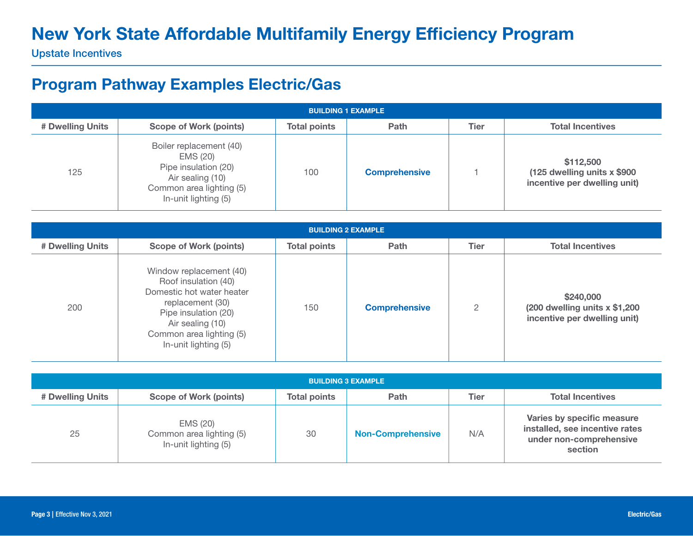Upstate Incentives

### Program Pathway Examples Electric/Gas

| <b>BUILDING 1 EXAMPLE</b> |                                                                                                                                     |                     |                      |             |                                                                           |  |  |
|---------------------------|-------------------------------------------------------------------------------------------------------------------------------------|---------------------|----------------------|-------------|---------------------------------------------------------------------------|--|--|
| # Dwelling Units          | Scope of Work (points)                                                                                                              | <b>Total points</b> | Path                 | <b>Tier</b> | <b>Total Incentives</b>                                                   |  |  |
| 125                       | Boiler replacement (40)<br>EMS (20)<br>Pipe insulation (20)<br>Air sealing (10)<br>Common area lighting (5)<br>In-unit lighting (5) | 100                 | <b>Comprehensive</b> |             | \$112,500<br>(125 dwelling units x \$900)<br>incentive per dwelling unit) |  |  |

| <b>BUILDING 2 EXAMPLE</b> |                                                                                                                                                                                                  |                     |                      |                |                                                                              |  |  |  |
|---------------------------|--------------------------------------------------------------------------------------------------------------------------------------------------------------------------------------------------|---------------------|----------------------|----------------|------------------------------------------------------------------------------|--|--|--|
| # Dwelling Units          | <b>Scope of Work (points)</b>                                                                                                                                                                    | <b>Total points</b> | Path                 | <b>Tier</b>    | <b>Total Incentives</b>                                                      |  |  |  |
| 200                       | Window replacement (40)<br>Roof insulation (40)<br>Domestic hot water heater<br>replacement (30)<br>Pipe insulation (20)<br>Air sealing (10)<br>Common area lighting (5)<br>In-unit lighting (5) | 150                 | <b>Comprehensive</b> | $\overline{2}$ | \$240,000<br>(200 dwelling units $x$ \$1,200<br>incentive per dwelling unit) |  |  |  |

| <b>BUILDING 3 EXAMPLE</b> |                                                              |                     |                          |      |                                                                                                    |  |  |
|---------------------------|--------------------------------------------------------------|---------------------|--------------------------|------|----------------------------------------------------------------------------------------------------|--|--|
| # Dwelling Units          | Scope of Work (points)                                       | <b>Total points</b> | <b>Path</b>              | Tier | <b>Total Incentives</b>                                                                            |  |  |
| 25                        | EMS (20)<br>Common area lighting (5)<br>In-unit lighting (5) | 30                  | <b>Non-Comprehensive</b> | N/A  | Varies by specific measure<br>installed, see incentive rates<br>under non-comprehensive<br>section |  |  |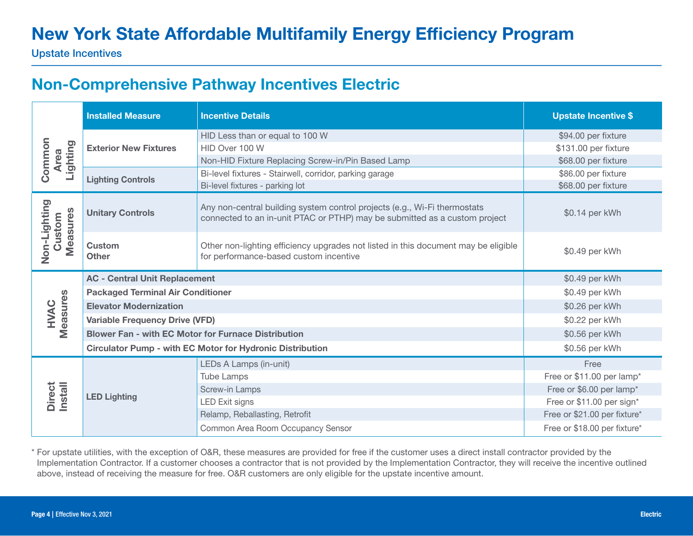Upstate Incentives

### Non-Comprehensive Pathway Incentives Electric

|                                    | <b>Installed Measure</b>                                         | <b>Incentive Details</b>                                                                                                                                | <b>Upstate Incentive \$</b>  |
|------------------------------------|------------------------------------------------------------------|---------------------------------------------------------------------------------------------------------------------------------------------------------|------------------------------|
|                                    |                                                                  | HID Less than or equal to 100 W                                                                                                                         | \$94.00 per fixture          |
| Common<br>Lighting<br><b>Area</b>  | <b>Exterior New Fixtures</b>                                     | HID Over 100 W                                                                                                                                          | \$131.00 per fixture         |
|                                    |                                                                  | Non-HID Fixture Replacing Screw-in/Pin Based Lamp                                                                                                       | \$68.00 per fixture          |
|                                    | <b>Lighting Controls</b>                                         | Bi-level fixtures - Stairwell, corridor, parking garage                                                                                                 | \$86.00 per fixture          |
|                                    |                                                                  | Bi-level fixtures - parking lot                                                                                                                         | \$68.00 per fixture          |
| Non-Lighting<br>Measures<br>Custom | <b>Unitary Controls</b>                                          | Any non-central building system control projects (e.g., Wi-Fi thermostats<br>connected to an in-unit PTAC or PTHP) may be submitted as a custom project | \$0.14 per kWh               |
|                                    | Custom<br><b>Other</b>                                           | Other non-lighting efficiency upgrades not listed in this document may be eligible<br>for performance-based custom incentive                            | \$0.49 per kWh               |
|                                    | <b>AC - Central Unit Replacement</b>                             |                                                                                                                                                         | \$0.49 per kWh               |
|                                    | <b>Packaged Terminal Air Conditioner</b>                         | \$0.49 per kWh                                                                                                                                          |                              |
|                                    | <b>Elevator Modernization</b>                                    | \$0.26 per kWh                                                                                                                                          |                              |
| Measures<br>HVAC                   | <b>Variable Frequency Drive (VFD)</b>                            |                                                                                                                                                         | \$0.22 per kWh               |
|                                    | <b>Blower Fan - with EC Motor for Furnace Distribution</b>       |                                                                                                                                                         | \$0.56 per kWh               |
|                                    | <b>Circulator Pump - with EC Motor for Hydronic Distribution</b> |                                                                                                                                                         | \$0.56 per kWh               |
|                                    |                                                                  | LEDs A Lamps (in-unit)                                                                                                                                  | Free                         |
|                                    |                                                                  | <b>Tube Lamps</b>                                                                                                                                       | Free or \$11.00 per lamp*    |
| Direct<br>Install                  |                                                                  | Screw-in Lamps                                                                                                                                          | Free or \$6.00 per lamp*     |
|                                    | <b>LED Lighting</b>                                              | <b>LED Exit signs</b>                                                                                                                                   | Free or \$11.00 per sign*    |
|                                    |                                                                  | Relamp, Reballasting, Retrofit                                                                                                                          | Free or \$21.00 per fixture* |
|                                    |                                                                  | Common Area Room Occupancy Sensor                                                                                                                       | Free or \$18.00 per fixture* |

\* For upstate utilities, with the exception of O&R, these measures are provided for free if the customer uses a direct install contractor provided by the Implementation Contractor. If a customer chooses a contractor that is not provided by the Implementation Contractor, they will receive the incentive outlined above, instead of receiving the measure for free. O&R customers are only eligible for the upstate incentive amount.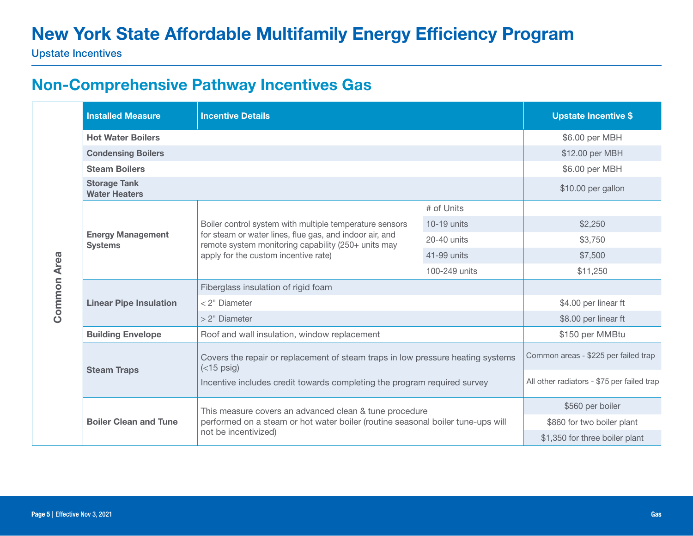Upstate Incentives

### Non-Comprehensive Pathway Incentives Gas

|                    | <b>Installed Measure</b>                    | <b>Incentive Details</b>                                                                                                                                                                                          | <b>Upstate Incentive \$</b> |                                            |
|--------------------|---------------------------------------------|-------------------------------------------------------------------------------------------------------------------------------------------------------------------------------------------------------------------|-----------------------------|--------------------------------------------|
|                    | <b>Hot Water Boilers</b>                    |                                                                                                                                                                                                                   |                             | \$6.00 per MBH                             |
|                    | <b>Condensing Boilers</b>                   | \$12.00 per MBH                                                                                                                                                                                                   |                             |                                            |
|                    | <b>Steam Boilers</b>                        |                                                                                                                                                                                                                   |                             | \$6.00 per MBH                             |
|                    | <b>Storage Tank</b><br><b>Water Heaters</b> |                                                                                                                                                                                                                   |                             | \$10.00 per gallon                         |
|                    |                                             |                                                                                                                                                                                                                   | # of Units                  |                                            |
|                    | <b>Energy Management</b><br><b>Systems</b>  | Boiler control system with multiple temperature sensors<br>for steam or water lines, flue gas, and indoor air, and<br>remote system monitoring capability (250+ units may<br>apply for the custom incentive rate) | $10-19$ units               | \$2,250                                    |
|                    |                                             |                                                                                                                                                                                                                   | 20-40 units                 | \$3,750                                    |
|                    |                                             |                                                                                                                                                                                                                   | 41-99 units                 | \$7,500                                    |
|                    |                                             |                                                                                                                                                                                                                   | 100-249 units               | \$11,250                                   |
| <b>Common Area</b> |                                             | Fiberglass insulation of rigid foam                                                                                                                                                                               |                             |                                            |
|                    | <b>Linear Pipe Insulation</b>               | < 2" Diameter                                                                                                                                                                                                     | \$4.00 per linear ft        |                                            |
|                    |                                             | > 2" Diameter                                                                                                                                                                                                     | \$8.00 per linear ft        |                                            |
|                    | <b>Building Envelope</b>                    | Roof and wall insulation, window replacement                                                                                                                                                                      |                             | \$150 per MMBtu                            |
|                    | <b>Steam Traps</b>                          | Covers the repair or replacement of steam traps in low pressure heating systems<br>$(<$ 15 psig)                                                                                                                  |                             | Common areas - \$225 per failed trap       |
|                    |                                             | Incentive includes credit towards completing the program required survey                                                                                                                                          |                             | All other radiators - \$75 per failed trap |
|                    |                                             | This measure covers an advanced clean & tune procedure                                                                                                                                                            |                             | \$560 per boiler                           |
|                    | <b>Boiler Clean and Tune</b>                | performed on a steam or hot water boiler (routine seasonal boiler tune-ups will                                                                                                                                   |                             | \$860 for two boiler plant                 |
|                    |                                             | not be incentivized)                                                                                                                                                                                              |                             | \$1,350 for three boiler plant             |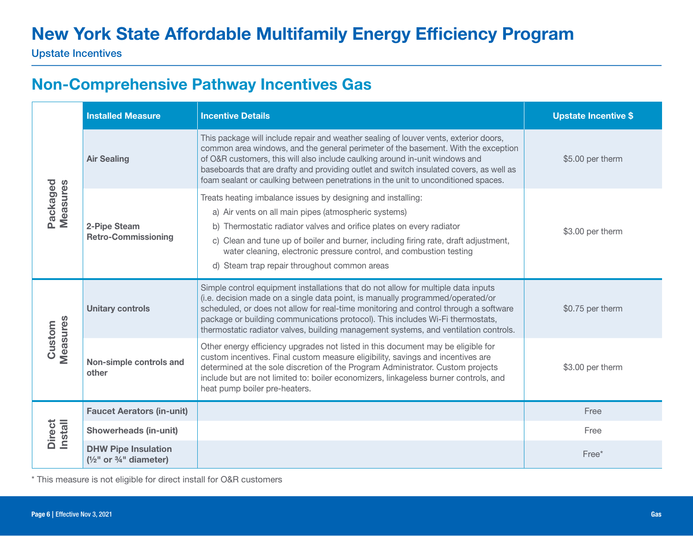## Non-Comprehensive Pathway Incentives Gas

|                      | <b>Installed Measure</b>                                                     | <b>Incentive Details</b>                                                                                                                                                                                                                                                                                                                                                                                                                     | <b>Upstate Incentive \$</b> |
|----------------------|------------------------------------------------------------------------------|----------------------------------------------------------------------------------------------------------------------------------------------------------------------------------------------------------------------------------------------------------------------------------------------------------------------------------------------------------------------------------------------------------------------------------------------|-----------------------------|
| Packaged<br>Measures | <b>Air Sealing</b>                                                           | This package will include repair and weather sealing of louver vents, exterior doors,<br>common area windows, and the general perimeter of the basement. With the exception<br>of O&R customers, this will also include caulking around in-unit windows and<br>baseboards that are drafty and providing outlet and switch insulated covers, as well as<br>foam sealant or caulking between penetrations in the unit to unconditioned spaces. | \$5.00 per therm            |
|                      | 2-Pipe Steam<br><b>Retro-Commissioning</b>                                   | Treats heating imbalance issues by designing and installing:<br>a) Air vents on all main pipes (atmospheric systems)<br>b) Thermostatic radiator valves and orifice plates on every radiator<br>c) Clean and tune up of boiler and burner, including firing rate, draft adjustment,<br>water cleaning, electronic pressure control, and combustion testing<br>d) Steam trap repair throughout common areas                                   | \$3.00 per therm            |
| Measures<br>Custom   | <b>Unitary controls</b>                                                      | Simple control equipment installations that do not allow for multiple data inputs<br>(i.e. decision made on a single data point, is manually programmed/operated/or<br>scheduled, or does not allow for real-time monitoring and control through a software<br>package or building communications protocol). This includes Wi-Fi thermostats,<br>thermostatic radiator valves, building management systems, and ventilation controls.        | \$0.75 per therm            |
|                      | Non-simple controls and<br>other                                             | Other energy efficiency upgrades not listed in this document may be eligible for<br>custom incentives. Final custom measure eligibility, savings and incentives are<br>determined at the sole discretion of the Program Administrator. Custom projects<br>include but are not limited to: boiler economizers, linkageless burner controls, and<br>heat pump boiler pre-heaters.                                                              | \$3.00 per therm            |
|                      | <b>Faucet Aerators (in-unit)</b>                                             |                                                                                                                                                                                                                                                                                                                                                                                                                                              | Free                        |
| Direct<br>Install    | <b>Showerheads (in-unit)</b>                                                 |                                                                                                                                                                                                                                                                                                                                                                                                                                              | Free                        |
|                      | <b>DHW Pipe Insulation</b><br>$(\frac{1}{2})^n$ or $\frac{3}{4}$ " diameter) |                                                                                                                                                                                                                                                                                                                                                                                                                                              | Free*                       |

\* This measure is not eligible for direct install for O&R customers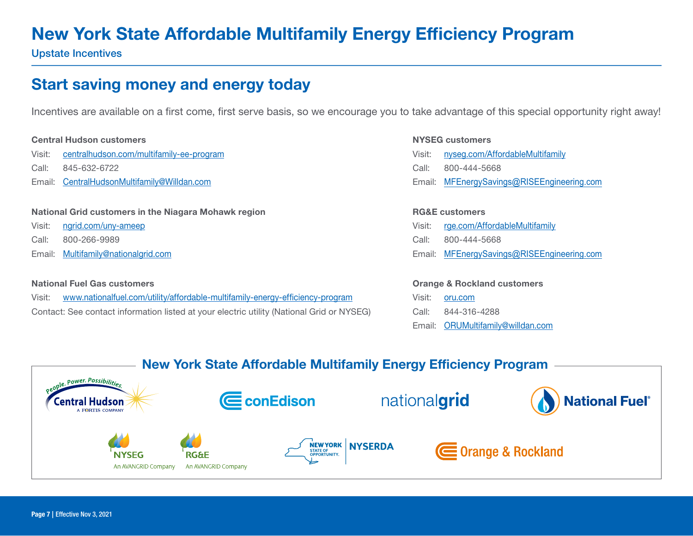Upstate Incentives

### Start saving money and energy today

Incentives are available on a first come, first serve basis, so we encourage you to take advantage of this special opportunity right away!

#### Central Hudson customers

- Visit: [centralhudson.com/multifamily-ee-program](http://centralhudson.com/multifamily-ee-program )
- Call: 845-632-6722
- Email: [CentralHudsonMultifamily@Willdan.com](mailto:CentralHudsonMultifamily%40Willdan.com?subject=)

#### National Grid customers in the Niagara Mohawk region

- Visit: [ngrid.com/uny-ameep](http://ngrid.com/uny-ameep)
- Call: 800-266-9989
- Email: [Multifamily@nationalgrid.com](mailto:Multifamily%40nationalgrid.com?subject=)

#### National Fuel Gas customers

| Visit: | www.nationalfuel.com/utility/affordable-multifamily-energy-efficiency-program             |  |  |
|--------|-------------------------------------------------------------------------------------------|--|--|
|        | Contact: See contact information listed at your electric utility (National Grid or NYSEG) |  |  |

#### NYSEG customers

Visit: [nyseg.com/AffordableMultifamily](http://nyseg.com/AffordableMultifamily) Call: 800-444-5668 Email: MFEnergySavings@RISEEngineering.com

#### RG&E customers

- Visit: [rge.com/AffordableMultifamily](http://rge.com/AffordableMultifamily)
- Call: 800-444-5668
- Email: MFEnergySavings@RISEEngineering.com

#### Orange & Rockland customers

- Visit: [oru.com](http://oru.com) Call: 844-316-4288
- Email: [ORUMultifamily@willdan.com](mailto:ORUMultifamily%40willdan.com?subject=)